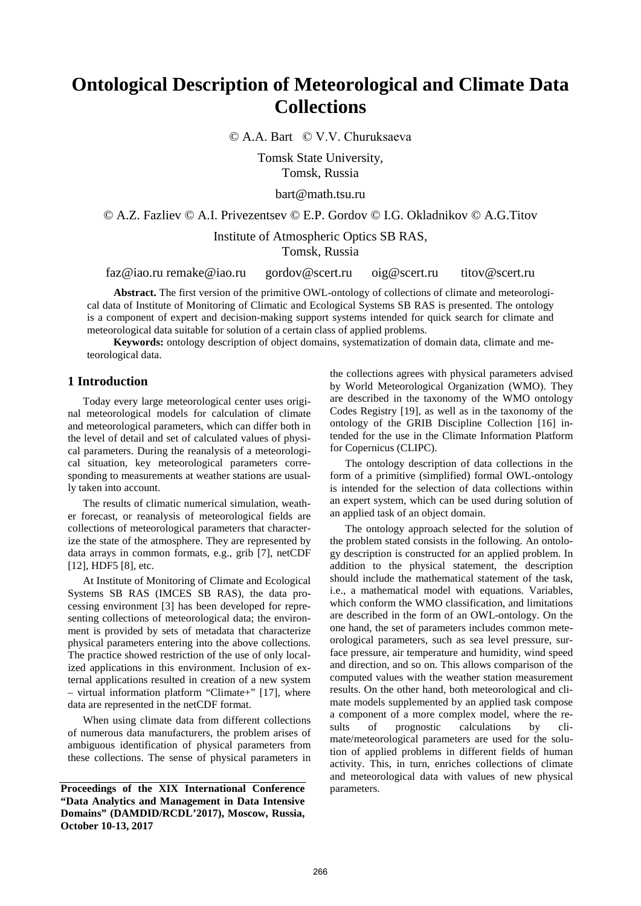# **Ontological Description of Meteorological and Climate Data Collections**

© A.A. Bart © V.V. Churuksaeva

Tomsk State University, Tomsk, Russia

bart@math.tsu.ru

© A.Z. Fazliev © A.I. Privezentsev © E.P. Gordov © I.G. Okladnikov © A.G.Titov

Institute of Atmospheric Optics SB RAS, Tomsk, Russia

faz@iao.ru [remake@iao.ru](mailto:remake@iao.ru) gordov@scert.ru oig@scert.ru titov@scert.ru

**Abstract.** The first version of the primitive OWL-ontology of collections of climate and meteorological data of Institute of Monitoring of Climatic and Ecological Systems SB RAS is presented. The ontology is a component of expert and decision-making support systems intended for quick search for climate and meteorological data suitable for solution of a certain class of applied problems.

**Keywords:** ontology description of object domains, systematization of domain data, climate and meteorological data.

# **1 Introduction**

Today every large meteorological center uses original meteorological models for calculation of climate and meteorological parameters, which can differ both in the level of detail and set of calculated values of physical parameters. During the reanalysis of a meteorological situation, key meteorological parameters corresponding to measurements at weather stations are usually taken into account.

The results of climatic numerical simulation, weather forecast, or reanalysis of meteorological fields are collections of meteorological parameters that characterize the state of the atmosphere. They are represented by data arrays in common formats, e.g., grib [7], netCDF [12], HDF5 [8], etc.

At Institute of Monitoring of Climate and Ecological Systems SB RAS (IMCES SB RAS), the data processing environment [3] has been developed for representing collections of meteorological data; the environment is provided by sets of metadata that characterize physical parameters entering into the above collections. The practice showed restriction of the use of only localized applications in this environment. Inclusion of external applications resulted in creation of a new system – virtual information platform "Climate+" [17], where data are represented in the netCDF format.

When using climate data from different collections of numerous data manufacturers, the problem arises of ambiguous identification of physical parameters from these collections. The sense of physical parameters in

the collections agrees with physical parameters advised by World Meteorological Organization (WMO). They are described in the taxonomy of the WMO ontology Codes Registry [19], as well as in the taxonomy of the ontology of the GRIB Discipline Collection [16] intended for the use in the Climate Information Platform for Copernicus (CLIPC).

The ontology description of data collections in the form of a primitive (simplified) formal OWL-ontology is intended for the selection of data collections within an expert system, which can be used during solution of an applied task of an object domain.

The ontology approach selected for the solution of the problem stated consists in the following. An ontology description is constructed for an applied problem. In addition to the physical statement, the description should include the mathematical statement of the task, i.e., a mathematical model with equations. Variables, which conform the WMO classification, and limitations are described in the form of an OWL-ontology. On the one hand, the set of parameters includes common meteorological parameters, such as sea level pressure, surface pressure, air temperature and humidity, wind speed and direction, and so on. This allows comparison of the computed values with the weather station measurement results. On the other hand, both meteorological and climate models supplemented by an applied task compose a component of a more complex model, where the results of prognostic calculations by climate/meteorological parameters are used for the solution of applied problems in different fields of human activity. This, in turn, enriches collections of climate and meteorological data with values of new physical

Proceedings of the XIX International Conference parameters. **"Data Analytics and Management in Data Intensive Domains" (DAMDID/RCDL'2017), Moscow, Russia, October 10-13, 2017**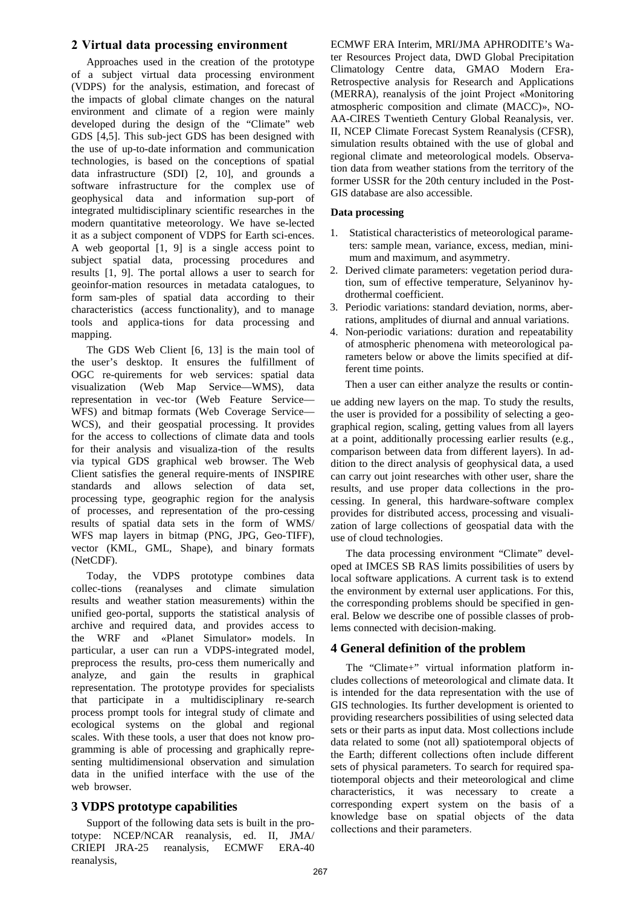### **2 Virtual data processing environment**

Approaches used in the creation of the prototype of a subject virtual data processing environment (VDPS) for the analysis, estimation, and forecast of the impacts of global climate changes on the natural environment and climate of a region were mainly developed during the design of the "Climate" web GDS [4,5]. This sub-ject GDS has been designed with the use of up-to-date information and communication technologies, is based on the conceptions of spatial data infrastructure (SDI) [2, 10], and grounds a software infrastructure for the complex use of geophysical data and information sup-port of integrated multidisciplinary scientific researches in the modern quantitative meteorology. We have se-lected it as a subject component of VDPS for Earth sci-ences. A web geoportal [1, 9] is a single access point to subject spatial data, processing procedures and results [1, 9]. The portal allows a user to search for geoinfor-mation resources in metadata catalogues, to form sam-ples of spatial data according to their characteristics (access functionality), and to manage tools and applica-tions for data processing and mapping.

The GDS Web Client [6, 13] is the main tool of the user's desktop. It ensures the fulfillment of OGC re-quirements for web services: spatial data visualization (Web Map Service—WMS), data representation in vec-tor (Web Feature Service— WFS) and bitmap formats (Web Coverage Service— WCS), and their geospatial processing. It provides for the access to collections of climate data and tools for their analysis and visualiza-tion of the results via typical GDS graphical web browser. The Web Client satisfies the general require-ments of INSPIRE standards and allows selection of data set, processing type, geographic region for the analysis of processes, and representation of the pro-cessing results of spatial data sets in the form of WMS/ WFS map layers in bitmap (PNG, JPG, Geo-TIFF), vector (KML, GML, Shape), and binary formats (NetCDF).

Today, the VDPS prototype combines data collec-tions (reanalyses and climate simulation results and weather station measurements) within the unified geo-portal, supports the statistical analysis of archive and required data, and provides access to the WRF and «Planet Simulator» models. In particular, a user can run a VDPS-integrated model, preprocess the results, pro-cess them numerically and analyze, and gain the results in graphical representation. The prototype provides for specialists that participate in a multidisciplinary re-search process prompt tools for integral study of climate and ecological systems on the global and regional scales. With these tools, a user that does not know programming is able of processing and graphically representing multidimensional observation and simulation data in the unified interface with the use of the web browser.

# **3 VDPS prototype capabilities**

Support of the following data sets is built in the prototype: NCEP/NCAR reanalysis, ed. II, JMA/ CRIEPI JRA-25 reanalysis, ECMWF ERA-40 reanalysis,

ECMWF ERA Interim, MRI/JMA APHRODITE's Water Resources Project data, DWD Global Precipitation Climatology Centre data, GMAO Modern Era-Retrospective analysis for Research and Applications (MERRA), reanalysis of the joint Project «Monitoring atmospheric composition and climate (MACC)», NO-AA-CIRES Twentieth Century Global Reanalysis, ver. II, NCEP Climate Forecast System Reanalysis (CFSR), simulation results obtained with the use of global and regional climate and meteorological models. Observation data from weather stations from the territory of the former USSR for the 20th century included in the Post-GIS database are also accessible.

#### **Data processing**

- 1. Statistical characteristics of meteorological parameters: sample mean, variance, excess, median, minimum and maximum, and asymmetry.
- 2. Derived climate parameters: vegetation period duration, sum of effective temperature, Selyaninov hydrothermal coefficient.
- 3. Periodic variations: standard deviation, norms, aberrations, amplitudes of diurnal and annual variations.
- 4. Non-periodic variations: duration and repeatability of atmospheric phenomena with meteorological parameters below or above the limits specified at different time points.

Then a user can either analyze the results or contin-

ue adding new layers on the map. To study the results, the user is provided for a possibility of selecting a geographical region, scaling, getting values from all layers at a point, additionally processing earlier results (e.g., comparison between data from different layers). In addition to the direct analysis of geophysical data, a used can carry out joint researches with other user, share the results, and use proper data collections in the processing. In general, this hardware-software complex provides for distributed access, processing and visualization of large collections of geospatial data with the use of cloud technologies.

The data processing environment "Climate" developed at IMCES SB RAS limits possibilities of users by local software applications. A current task is to extend the environment by external user applications. For this, the corresponding problems should be specified in general. Below we describe one of possible classes of problems connected with decision-making.

# **4 General definition of the problem**

The "Climate+" virtual information platform includes collections of meteorological and climate data. It is intended for the data representation with the use of GIS technologies. Its further development is oriented to providing researchers possibilities of using selected data sets or their parts as input data. Most collections include data related to some (not all) spatiotemporal objects of the Earth; different collections often include different sets of physical parameters. To search for required spatiotemporal objects and their meteorological and clime characteristics, it was necessary to create a corresponding expert system on the basis of a knowledge base on spatial objects of the data collections and their parameters.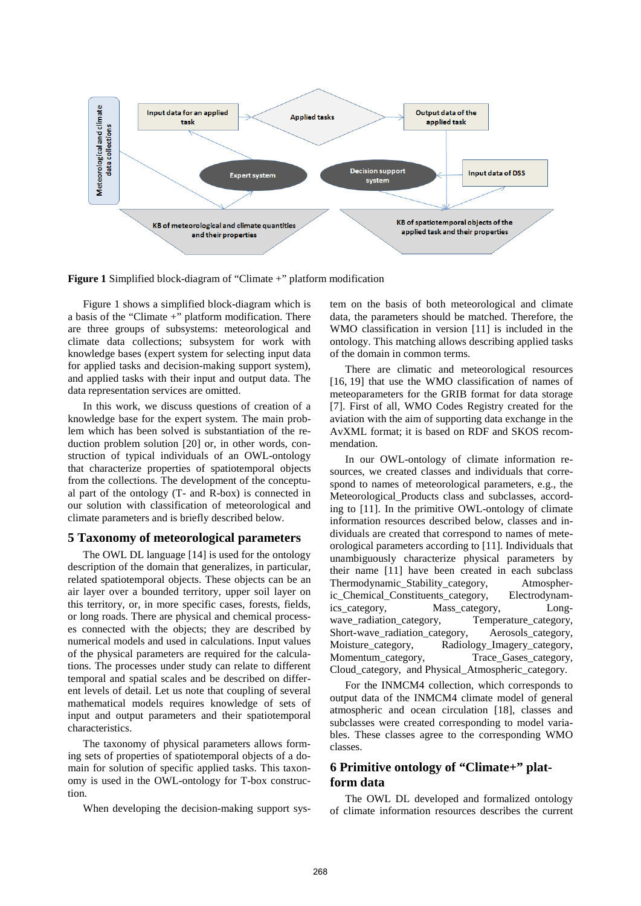

**Figure 1** Simplified block-diagram of "Climate +" platform modification

Figure 1 shows a simplified block-diagram which is a basis of the "Climate +" platform modification. There are three groups of subsystems: meteorological and climate data collections; subsystem for work with knowledge bases (expert system for selecting input data for applied tasks and decision-making support system), and applied tasks with their input and output data. The data representation services are omitted.

In this work, we discuss questions of creation of a knowledge base for the expert system. The main problem which has been solved is substantiation of the reduction problem solution [20] or, in other words, construction of typical individuals of an OWL-ontology that characterize properties of spatiotemporal objects from the collections. The development of the conceptual part of the ontology (T- and R-box) is connected in our solution with classification of meteorological and climate parameters and is briefly described below.

#### **5 Taxonomy of meteorological parameters**

The OWL DL language [14] is used for the ontology description of the domain that generalizes, in particular, related spatiotemporal objects. These objects can be an air layer over a bounded territory, upper soil layer on this territory, or, in more specific cases, forests, fields, or long roads. There are physical and chemical processes connected with the objects; they are described by numerical models and used in calculations. Input values of the physical parameters are required for the calculations. The processes under study can relate to different temporal and spatial scales and be described on different levels of detail. Let us note that coupling of several mathematical models requires knowledge of sets of input and output parameters and their spatiotemporal characteristics.

The taxonomy of physical parameters allows forming sets of properties of spatiotemporal objects of a domain for solution of specific applied tasks. This taxonomy is used in the OWL-ontology for T-box construction.

When developing the decision-making support sys-

tem on the basis of both meteorological and climate data, the parameters should be matched. Therefore, the WMO classification in version [11] is included in the ontology. This matching allows describing applied tasks of the domain in common terms.

There are climatic and meteorological resources [16, 19] that use the WMO classification of names of meteoparameters for the GRIB format for data storage [7]. First of all, WMO Codes Registry created for the aviation with the aim of supporting data exchange in the AvXML format; it is based on RDF and SKOS recommendation.

In our OWL-ontology of climate information resources, we created classes and individuals that correspond to names of meteorological parameters, e.g., the Meteorological\_Products class and subclasses, according to [11]. In the primitive OWL-ontology of climate information resources described below, classes and individuals are created that correspond to names of meteorological parameters according to [11]. Individuals that unambiguously characterize physical parameters by their name [11] have been created in each subclass Thermodynamic Stability category, Atmospheric Chemical Constituents category, Electrodynamics category, Mass category, Longwave\_radiation\_category, Temperature\_category, Short-wave radiation category, Aerosols category, Moisture\_category, Radiology\_Imagery\_category, Momentum\_category, Trace\_Gases\_category, Cloud\_category, and Physical\_Atmospheric\_category.

For the INMCM4 collection, which corresponds to output data of the INMCM4 climate model of general atmospheric and ocean circulation [18], classes and subclasses were created corresponding to model variables. These classes agree to the corresponding WMO classes.

# **6 Primitive ontology of "Climate+" platform data**

The OWL DL developed and formalized ontology of climate information resources describes the current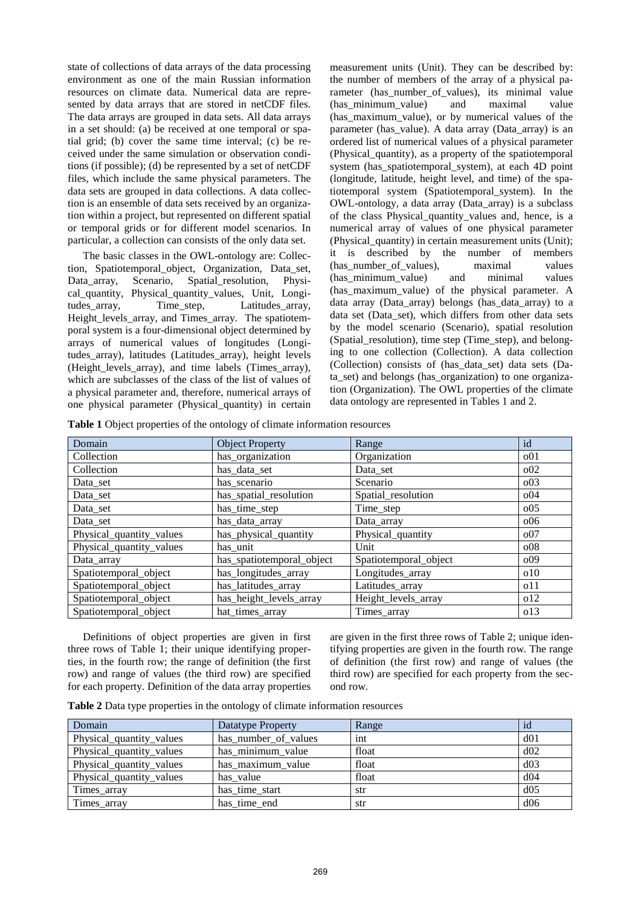state of collections of data arrays of the data processing environment as one of the main Russian information resources on climate data. Numerical data are represented by data arrays that are stored in netCDF files. The data arrays are grouped in data sets. All data arrays in a set should: (a) be received at one temporal or spatial grid; (b) cover the same time interval; (c) be received under the same simulation or observation conditions (if possible); (d) be represented by a set of netCDF files, which include the same physical parameters. The data sets are grouped in data collections. A data collection is an ensemble of data sets received by an organization within a project, but represented on different spatial or temporal grids or for different model scenarios. In particular, a collection can consists of the only data set.

The basic classes in the OWL-ontology are: Collection, Spatiotemporal\_object, Organization, Data\_set, Data array, Scenario, Spatial resolution, Physical\_quantity, Physical\_quantity\_values, Unit, Longitudes\_array, Time\_step, Latitudes\_array, Height\_levels\_array, and Times\_array. The spatiotemporal system is a four-dimensional object determined by arrays of numerical values of longitudes (Longitudes\_array), latitudes (Latitudes\_array), height levels (Height\_levels\_array), and time labels (Times\_array), which are subclasses of the class of the list of values of a physical parameter and, therefore, numerical arrays of one physical parameter (Physical\_quantity) in certain

measurement units (Unit). They can be described by: the number of members of the array of a physical parameter (has number of values), its minimal value (has minimum value) and maximal value (has\_maximum\_value), or by numerical values of the parameter (has\_value). A data array (Data\_array) is an ordered list of numerical values of a physical parameter (Physical\_quantity), as a property of the spatiotemporal system (has\_spatiotemporal\_system), at each 4D point (longitude, latitude, height level, and time) of the spatiotemporal system (Spatiotemporal\_system). In the OWL-ontology, a data array (Data\_array) is a subclass of the class Physical\_quantity\_values and, hence, is a numerical array of values of one physical parameter (Physical\_quantity) in certain measurement units (Unit); it is described by the number of members (has\_number\_of\_values), maximal values (has minimum value) and minimal values (has\_maximum\_value) of the physical parameter. A data array (Data\_array) belongs (has\_data\_array) to a data set (Data\_set), which differs from other data sets by the model scenario (Scenario), spatial resolution (Spatial resolution), time step (Time step), and belonging to one collection (Collection). A data collection (Collection) consists of (has\_data\_set) data sets (Data\_set) and belongs (has\_organization) to one organization (Organization). The OWL properties of the climate data ontology are represented in Tables 1 and 2.

|  |  |  |  |  | Table 1 Object properties of the ontology of climate information resources |
|--|--|--|--|--|----------------------------------------------------------------------------|
|  |  |  |  |  |                                                                            |

| Domain                   | <b>Object Property</b>    | Range                 | id              |
|--------------------------|---------------------------|-----------------------|-----------------|
| Collection               | has_organization          | Organization          | 001             |
| Collection               | has_data_set              | Data_set              | 002             |
| Data_set                 | has_scenario              | Scenario              | 003             |
| Data_set                 | has_spatial_resolution    | Spatial_resolution    | 004             |
| Data_set                 | has_time_step             | Time_step             | 005             |
| Data_set                 | has_data_array            | Data_array            | 006             |
| Physical_quantity_values | has_physical_quantity     | Physical_quantity     | 007             |
| Physical_quantity_values | has_unit                  | Unit                  | 008             |
| Data_array               | has_spatiotemporal_object | Spatiotemporal_object | 009             |
| Spatiotemporal_object    | has_longitudes_array      | Longitudes_array      | 010             |
| Spatiotemporal_object    | has_latitudes_array       | Latitudes_array       | 011             |
| Spatiotemporal_object    | has_height_levels_array   | Height_levels_array   | 0 <sub>12</sub> |
| Spatiotemporal_object    | hat_times_array           | Times_array           | 0 <sub>13</sub> |

Definitions of object properties are given in first three rows of Table 1; their unique identifying properties, in the fourth row; the range of definition (the first row) and range of values (the third row) are specified for each property. Definition of the data array properties are given in the first three rows of Table 2; unique identifying properties are given in the fourth row. The range of definition (the first row) and range of values (the third row) are specified for each property from the second row.

|  |  |  | Table 2 Data type properties in the ontology of climate information resources |
|--|--|--|-------------------------------------------------------------------------------|
|--|--|--|-------------------------------------------------------------------------------|

| Domain                   | Datatype Property    | Range | 1d              |
|--------------------------|----------------------|-------|-----------------|
| Physical_quantity_values | has_number_of_values | int   | d01             |
| Physical_quantity_values | has minimum_value    | float | d02             |
| Physical_quantity_values | has maximum value    | float | d03             |
| Physical_quantity_values | has value            | float | d <sub>04</sub> |
| Times_array              | has_time_start       | str   | d05             |
| Times_array              | has time end         | str   | d06             |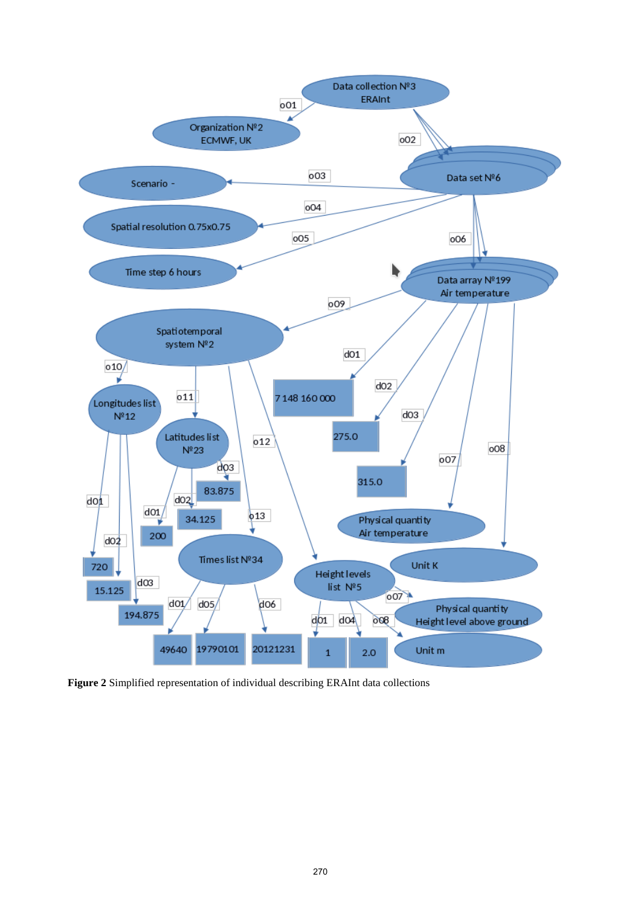

**Figure 2** Simplified representation of individual describing ERAInt data collections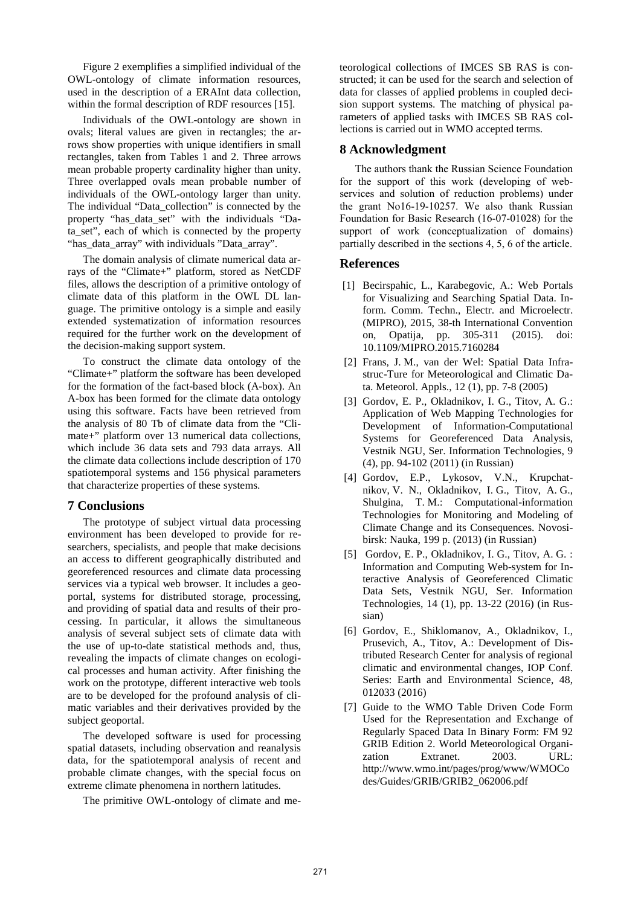Figure 2 exemplifies a simplified individual of the OWL-ontology of climate information resources, used in the description of a ERAInt data collection, within the formal description of RDF resources [15].

Individuals of the OWL-ontology are shown in ovals; literal values are given in rectangles; the arrows show properties with unique identifiers in small rectangles, taken from Tables 1 and 2. Three arrows mean probable property cardinality higher than unity. Three overlapped ovals mean probable number of individuals of the OWL-ontology larger than unity. The individual "Data\_collection" is connected by the property "has\_data\_set" with the individuals "Data\_set", each of which is connected by the property "has data array" with individuals "Data array".

The domain analysis of climate numerical data arrays of the "Climate+" platform, stored as NetCDF files, allows the description of a primitive ontology of climate data of this platform in the OWL DL language. The primitive ontology is a simple and easily extended systematization of information resources required for the further work on the development of the decision-making support system.

To construct the climate data ontology of the "Climate+" platform the software has been developed for the formation of the fact-based block (A-box). An A-box has been formed for the climate data ontology using this software. Facts have been retrieved from the analysis of 80 Tb of climate data from the "Climate+" platform over 13 numerical data collections, which include 36 data sets and 793 data arrays. All the climate data collections include description of 170 spatiotemporal systems and 156 physical parameters that characterize properties of these systems.

#### **7 Conclusions**

The prototype of subject virtual data processing environment has been developed to provide for researchers, specialists, and people that make decisions an access to different geographically distributed and georeferenced resources and climate data processing services via a typical web browser. It includes a geoportal, systems for distributed storage, processing, and providing of spatial data and results of their processing. In particular, it allows the simultaneous analysis of several subject sets of climate data with the use of up-to-date statistical methods and, thus, revealing the impacts of climate changes on ecological processes and human activity. After finishing the work on the prototype, different interactive web tools are to be developed for the profound analysis of climatic variables and their derivatives provided by the subject geoportal.

The developed software is used for processing spatial datasets, including observation and reanalysis data, for the spatiotemporal analysis of recent and probable climate changes, with the special focus on extreme climate phenomena in northern latitudes.

The primitive OWL-ontology of climate and me-

teorological collections of IMCES SB RAS is constructed; it can be used for the search and selection of data for classes of applied problems in coupled decision support systems. The matching of physical parameters of applied tasks with IMCES SB RAS collections is carried out in WMO accepted terms.

#### **8 Acknowledgment**

The authors thank the Russian Science Foundation for the support of this work (developing of webservices and solution of reduction problems) under the grant No16-19-10257. We also thank Russian Foundation for Basic Research (16-07-01028) for the support of work (conceptualization of domains) partially described in the sections 4, 5, 6 of the article.

#### **References**

- [1] Becirspahic, L., Karabegovic, A.: Web Portals for Visualizing and Searching Spatial Data. Inform. Comm. Techn., Electr. and Microelectr. (MIPRO), 2015, 38-th International Convention on, Opatija, pp. 305-311 (2015). doi: 10.1109/MIPRO.2015.7160284
- [2] Frans, J. M., van der Wel: Spatial Data Infrastruc-Ture for Meteorological and Climatic Data. Meteorol. Appls., 12 (1), pp. 7-8 (2005)
- [3] Gordov, E. P., Okladnikov, I. G., Titov, A. G.: Application of Web Mapping Technologies for Development of Information-Computational Systems for Georeferenced Data Analysis, Vestnik NGU, Ser. Information Technologies, 9 (4), pp. 94-102 (2011) (in Russian)
- [4] Gordov, E.P., Lykosov, V.N., Krupchatnikov, V. N., Okladnikov, I. G., Titov, A. G., Shulgina, T. M.: Computational-information Technologies for Monitoring and Modeling of Climate Change and its Consequences. Novosibirsk: Nauka, 199 p. (2013) (in Russian)
- [5] Gordov, E. P., Okladnikov, I. G., Titov, A. G. : Information and Computing Web-system for Interactive Analysis of Georeferenced Climatic Data Sets, Vestnik NGU, Ser. Information Technologies, 14 (1), pp. 13-22 (2016) (in Russian)
- [6] Gordov, E., Shiklomanov, A., Okladnikov, I., Prusevich, A., Titov, A.: Development of Distributed Research Center for analysis of regional climatic and environmental changes, IOP Conf. Series: Earth and Environmental Science, 48, 012033 (2016)
- [7] Guide to the WMO Table Driven Code Form Used for the Representation and Exchange of Regularly Spaced Data In Binary Form: FM 92 GRIB Edition 2. World Meteorological Organization Extranet. 2003. URL: http://www.wmo.int/pages/prog/www/WMOCo des/Guides/GRIB/GRIB2\_062006.pdf